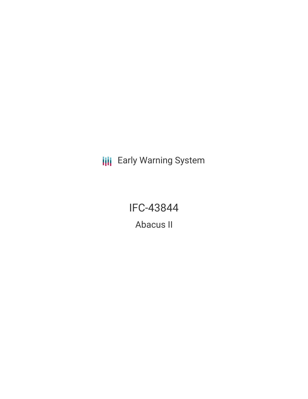**III** Early Warning System

IFC-43844

Abacus II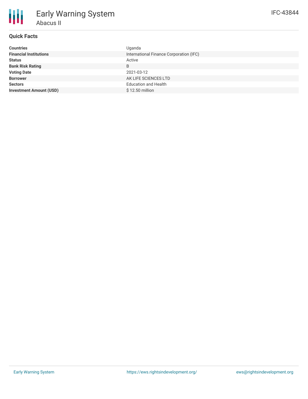# **Quick Facts**

| <b>Countries</b>               | Uganda                                  |
|--------------------------------|-----------------------------------------|
| <b>Financial Institutions</b>  | International Finance Corporation (IFC) |
| <b>Status</b>                  | Active                                  |
| <b>Bank Risk Rating</b>        | B                                       |
| <b>Voting Date</b>             | 2021-03-12                              |
| <b>Borrower</b>                | AK LIFE SCIENCES LTD                    |
| <b>Sectors</b>                 | <b>Education and Health</b>             |
| <b>Investment Amount (USD)</b> | \$12.50 million                         |
|                                |                                         |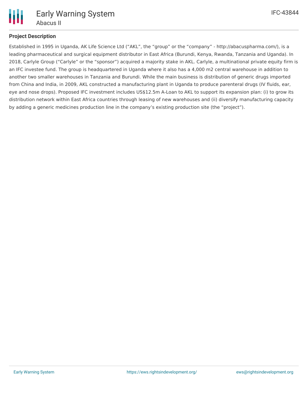

### **Project Description**

Established in 1995 in Uganda, AK Life Science Ltd ("AKL", the "group" or the "company" - http://abacuspharma.com/), is a leading pharmaceutical and surgical equipment distributor in East Africa (Burundi, Kenya, Rwanda, Tanzania and Uganda). In 2018, Carlyle Group ("Carlyle" or the "sponsor") acquired a majority stake in AKL. Carlyle, a multinational private equity firm is an IFC investee fund. The group is headquartered in Uganda where it also has a 4,000 m2 central warehouse in addition to another two smaller warehouses in Tanzania and Burundi. While the main business is distribution of generic drugs imported from China and India, in 2009, AKL constructed a manufacturing plant in Uganda to produce parenteral drugs (IV fluids, ear, eye and nose drops). Proposed IFC investment includes US\$12.5m A-Loan to AKL to support its expansion plan: (i) to grow its distribution network within East Africa countries through leasing of new warehouses and (ii) diversify manufacturing capacity by adding a generic medicines production line in the company's existing production site (the "project").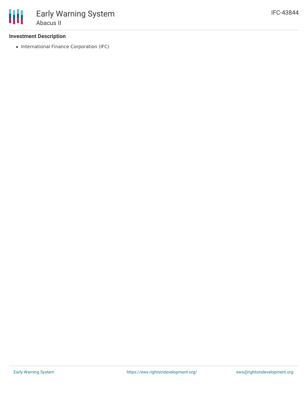### **Investment Description**

• International Finance Corporation (IFC)